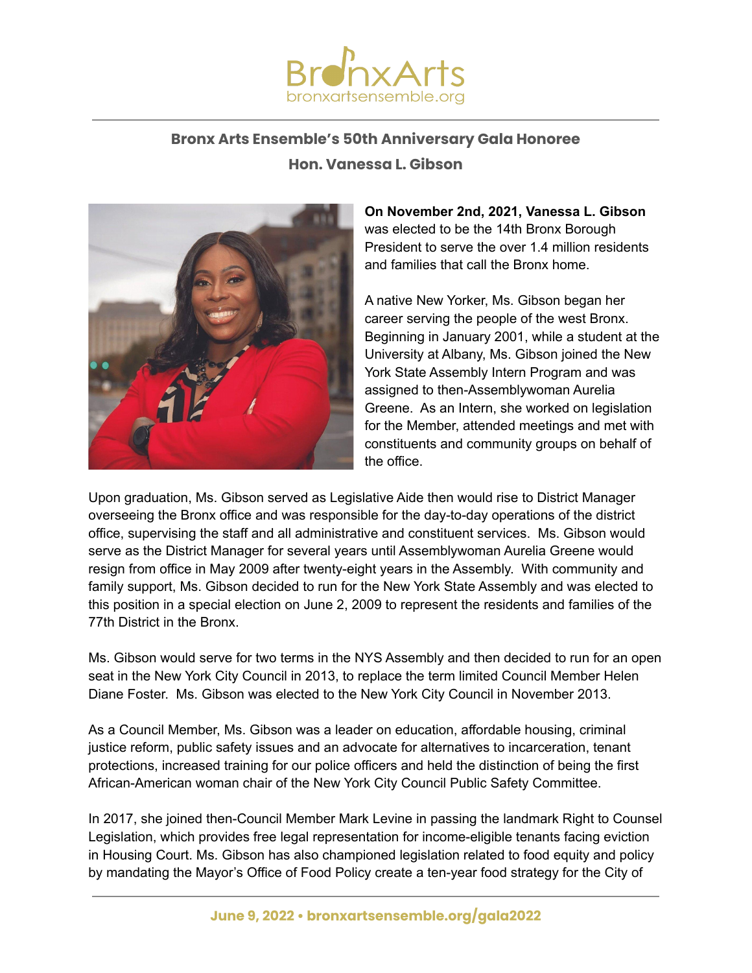

## **Bronx Arts Ensemble's 50th Anniversary Gala Honoree**

## **Hon. Vanessa L. Gibson**



**On November 2nd, 2021, Vanessa L. Gibson** was elected to be the 14th Bronx Borough President to serve the over 1.4 million residents and families that call the Bronx home.

A native New Yorker, Ms. Gibson began her career serving the people of the west Bronx. Beginning in January 2001, while a student at the University at Albany, Ms. Gibson joined the New York State Assembly Intern Program and was assigned to then-Assemblywoman Aurelia Greene. As an Intern, she worked on legislation for the Member, attended meetings and met with constituents and community groups on behalf of the office.

Upon graduation, Ms. Gibson served as Legislative Aide then would rise to District Manager overseeing the Bronx office and was responsible for the day-to-day operations of the district office, supervising the staff and all administrative and constituent services. Ms. Gibson would serve as the District Manager for several years until Assemblywoman Aurelia Greene would resign from office in May 2009 after twenty-eight years in the Assembly. With community and family support, Ms. Gibson decided to run for the New York State Assembly and was elected to this position in a special election on June 2, 2009 to represent the residents and families of the 77th District in the Bronx.

Ms. Gibson would serve for two terms in the NYS Assembly and then decided to run for an open seat in the New York City Council in 2013, to replace the term limited Council Member Helen Diane Foster. Ms. Gibson was elected to the New York City Council in November 2013.

As a Council Member, Ms. Gibson was a leader on education, affordable housing, criminal justice reform, public safety issues and an advocate for alternatives to incarceration, tenant protections, increased training for our police officers and held the distinction of being the first African-American woman chair of the New York City Council Public Safety Committee.

In 2017, she joined then-Council Member Mark Levine in passing the landmark Right to Counsel Legislation, which provides free legal representation for income-eligible tenants facing eviction in Housing Court. Ms. Gibson has also championed legislation related to food equity and policy by mandating the Mayor's Office of Food Policy create a ten-year food strategy for the City of